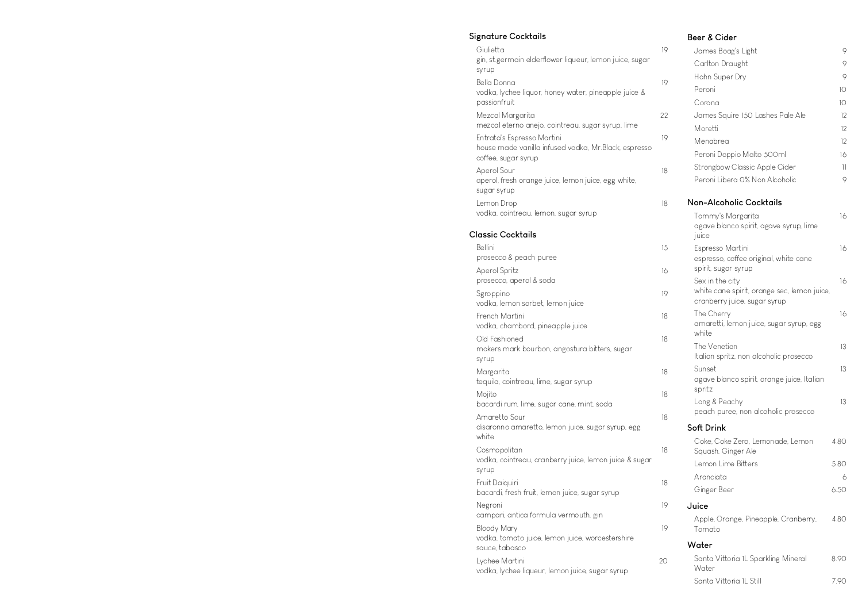### **Signature Cocktails**

| 19 |
|----|
|    |
|    |
| 19 |
| 22 |
|    |
| 19 |
| 18 |
| 18 |
|    |

#### **Classic Cocktails**

| Bellini                                                                           | 15 |
|-----------------------------------------------------------------------------------|----|
| prosecco & peach puree                                                            |    |
| Aperol Spritz<br>prosecco, aperol & soda                                          | 16 |
| Sgroppino<br>vodka, lemon sorbet, lemon juice                                     | 19 |
| French Martini<br>vodka, chambord, pineapple juice                                | 18 |
| Old Fashioned<br>makers mark bourbon, angostura bitters, sugar<br>syrup           | 18 |
| Margarita<br>tequila, cointreau, lime, sugar syrup                                | 18 |
| Mojito<br>bacardi rum, lime, sugar cane, mint, soda                               | 18 |
| Amaretto Sour<br>disaronno amaretto, lemon juice, sugar syrup, egg<br>white       | 18 |
| Cosmopolitan<br>vodka, cointreau, cranberry juice, lemon juice & sugar<br>syrup   | 18 |
| Fruit Daiquiri<br>bacardi, fresh fruit, lemon juice, sugar syrup                  | 18 |
| Negroni<br>campari, antica formula vermouth, gin                                  | 19 |
| Bloody Mary<br>vodka, tomato juice, lemon juice, worcestershire<br>sauce, tabasco | 19 |
| Lychee Martini<br>vodka, lychee liqueur, lemon juice, sugar syrup                 | 20 |

#### **Beer & Cider**

| James Boag's Light                                                          | 9               |
|-----------------------------------------------------------------------------|-----------------|
| Carlton Draught                                                             | 9               |
| Hahn Super Dry                                                              | 9               |
| Peroni                                                                      | 10 <sup>1</sup> |
| Corona                                                                      | 10 <sup>°</sup> |
| James Squire 150 Lashes Pale Ale                                            | 12              |
| Moretti                                                                     | 12              |
| Menabrea                                                                    | 12              |
| Peroni Doppio Malto 500ml                                                   | 16              |
| Strongbow Classic Apple Cider                                               | 11              |
| Peroni Libera O% Non Alcoholic                                              | 9               |
| Non-Alcoholic Cocktails                                                     |                 |
| Tommy's Margarita                                                           | 16              |
| agave blanco spirit, agave syrup, lime<br>juice                             |                 |
| Espresso Martini                                                            | 16              |
| espresso, coffee original, white cane                                       |                 |
| spirit, sugar syrup                                                         |                 |
| Sex in the city                                                             | 16              |
| white cane spirit, orange sec, lemon juice,<br>cranberry juice, sugar syrup |                 |
| The Cherry                                                                  | 16              |
| amaretti, lemon juice, sugar syrup, egg<br>white                            |                 |
| The Venetian                                                                | 13              |
| Italian spritz, non alcoholic prosecco                                      |                 |
| Sunset<br>agave blanco spirit, orange juice, Italian<br>spritz              | 13              |
| Long & Peachy                                                               | 13              |
| peach puree, non alcoholic prosecco                                         |                 |
| Soft Drink                                                                  |                 |
| Coke, Coke Zero, Lemonade, Lemon<br>Squash, Ginger Ale                      | 4.80            |
| Lemon Lime Bitters                                                          | 5.80            |
| Aranciata                                                                   | 6               |
| Ginger Beer                                                                 | 6.50            |
| Juice                                                                       |                 |
| Apple, Orange, Pineapple, Cranberry,<br>Tomato                              | 4.80            |
| Water                                                                       |                 |
| Santa Vittoria IL Sparkling Mineral<br>Water                                | 8.90            |
| Santa Vittoria IL Still                                                     | 7.90            |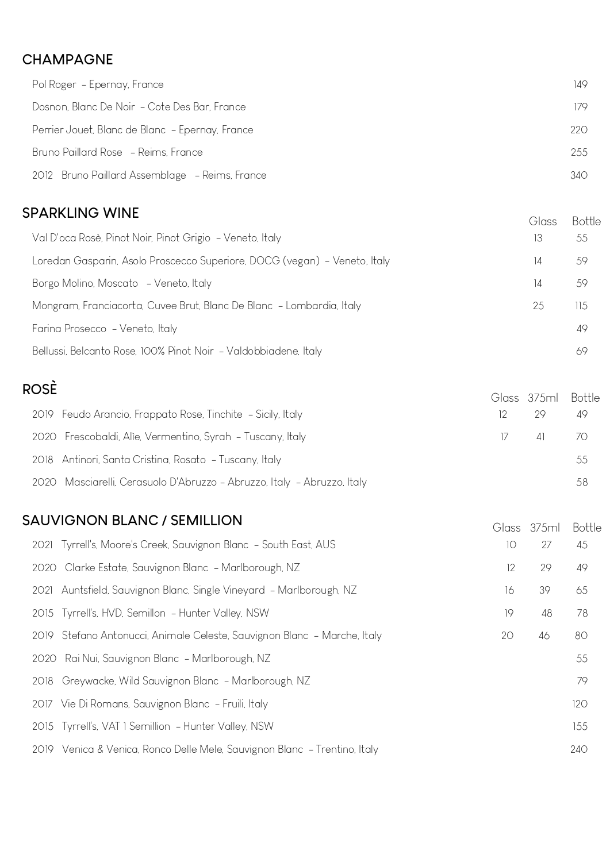### **CHAMPAGNE**

| Pol Roger – Epernay, France                     | 149 |
|-------------------------------------------------|-----|
| Dosnon, Blanc De Noir - Cote Des Bar, France    | 179 |
| Perrier Jouet, Blanc de Blanc - Epernay, France | 220 |
| Bruno Paillard Rose - Reims, France             | 255 |
| 2012 Bruno Paillard Assemblage - Reims, France  | 340 |

#### **SPARKLING WINE**

| OPARNLIINU VVIINE                                                         |    |     |
|---------------------------------------------------------------------------|----|-----|
| Val D'oca Rosè, Pinot Noir, Pinot Grigio - Veneto, Italy                  | 13 | 55  |
| Loredan Gasparin, Asolo Proscecco Superiore, DOCG (vegan) - Veneto, Italy | 14 | 59  |
| Borgo Molino, Moscato - Veneto, Italy                                     |    | 59  |
| Mongram, Franciacorta, Cuvee Brut, Blanc De Blanc - Lombardia, Italy      | 25 | 115 |
| Farina Prosecco - Veneto, Italy                                           |    | 49  |
| Bellussi, Belcanto Rose, 100% Pinot Noir - Valdobbiadene, Italy           |    |     |

# **ROSÈ**

| くしつヒ                                                                    |               | Glass 375ml Bottle |      |
|-------------------------------------------------------------------------|---------------|--------------------|------|
| 2019 Feudo Arancio, Frappato Rose, Tinchite - Sicily, Italy             |               | 29                 | 49   |
| 2020 Frescobaldi, Alie, Vermentino, Syrah - Tuscany, Italy              | $\frac{1}{2}$ | $\vert$ 41         | - 70 |
| 2018 Antinori, Santa Cristina, Rosato - Tuscany, Italy                  |               |                    | 55   |
| 2020 Masciarelli, Cerasuolo D'Abruzzo - Abruzzo, Italy - Abruzzo, Italy |               |                    | 58   |

#### **SAUVIGNON BLANC / SEMILLION**

| AU VIUNUN DLANU / SEMILLIUN                                               |    | Glass 375ml | <b>Bottle</b> |
|---------------------------------------------------------------------------|----|-------------|---------------|
| 2021 Tyrrell's, Moore's Creek, Sauvignon Blanc - South East, AUS          | 10 | 27          | 45            |
| 2020 Clarke Estate, Sauvignon Blanc - Marlborough, NZ                     | 12 | 29          | 49            |
| 2021 Auntsfield, Sauvignon Blanc, Single Vineyard - Marlborough, NZ       | 16 | 39          | 65            |
| 2015 Tyrrell's, HVD, Semillon - Hunter Valley, NSW                        | 19 | 48          | 78            |
| 2019 Stefano Antonucci, Animale Celeste, Sauvignon Blanc - Marche, Italy  | 20 | 46          | 80            |
| 2020 Rai Nui, Sauvignon Blanc - Marlborough, NZ                           |    |             | 55            |
| 2018 Greywacke, Wild Sauvignon Blanc - Marlborough, NZ                    |    |             | 79            |
| 2017 Vie Di Romans, Sauvignon Blanc - Fruili, Italy                       |    |             | 120           |
| 2015 Tyrrell's, VAT I Semillion - Hunter Valley, NSW                      |    |             | 155           |
| 2019 Venica & Venica, Ronco Delle Mele, Sauvignon Blanc - Trentino, Italy |    |             | 240           |
|                                                                           |    |             |               |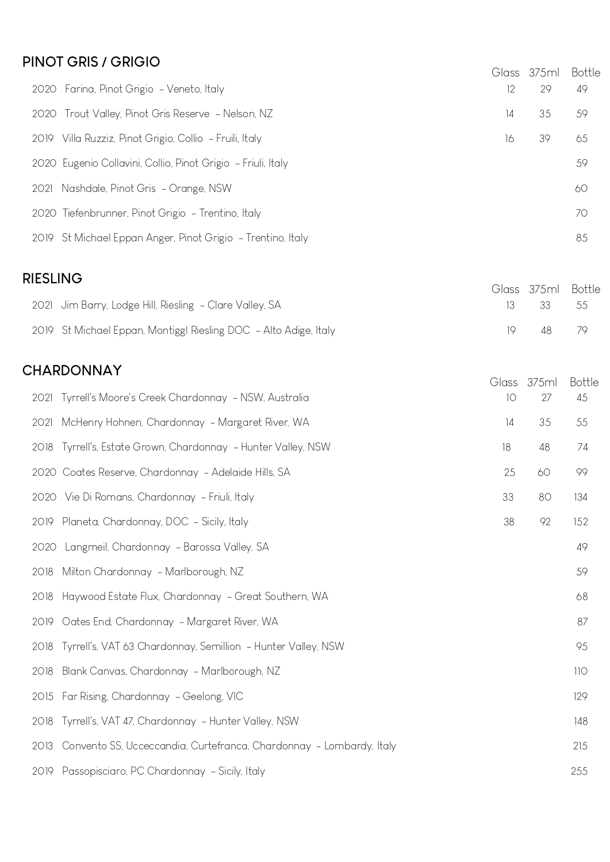#### **PINOT GRIS / GRIGIO**

| $111011$ $011101$                                            |    | Glass 375ml | <b>Bottle</b> |
|--------------------------------------------------------------|----|-------------|---------------|
| 2020 Farina, Pinot Grigio - Veneto, Italy                    | 12 | 29          | 49            |
| 2020 Trout Valley, Pinot Gris Reserve - Nelson, NZ           | 14 | 35          | 59            |
| 2019 Villa Ruzziz, Pinot Grigio, Collio - Fruili, Italy      | 16 | 39          | 65            |
| 2020 Eugenio Collavini, Collio, Pinot Grigio - Friuli, Italy |    |             | 59            |
| 2021 Nashdale, Pinot Gris - Orange, NSW                      |    |             | 60            |
| 2020 Tiefenbrunner, Pinot Grigio - Trentino, Italy           |    |             | 70            |
| 2019 St Michael Eppan Anger, Pinot Grigio - Trentino, Italy  |    |             | 85            |

#### **RIESLING**

| <b>TILJLIINU</b>                                                 |      | Glass 375ml Bottle |  |
|------------------------------------------------------------------|------|--------------------|--|
| 2021 Jim Barry, Lodge Hill, Riesling - Clare Valley, SA          |      | 13 33 55           |  |
| 2019 St Michael Eppan, Montiggl Riesling DOC - Alto Adige, Italy | 1Q — | 48 79              |  |

### **CHARDONNAY**

|      |                                                                     | Glass | 375ml | <b>Bottle</b> |
|------|---------------------------------------------------------------------|-------|-------|---------------|
|      | 2021 Tyrrell's Moore's Creek Chardonnay - NSW, Australia            | 10    | 27    | 45            |
| 2021 | McHenry Hohnen, Chardonnay - Margaret River, WA                     | 4     | 35    | 55            |
|      | 2018 Tyrrell's, Estate Grown, Chardonnay - Hunter Valley, NSW       | 18    | 48    | 74            |
|      | 2020 Coates Reserve, Chardonnay - Adelaide Hills, SA                | 25    | 60    | 99            |
|      | 2020 Vie Di Romans, Chardonnay - Friuli, Italy                      | 33    | 80    | 134           |
|      | 2019 Planeta, Chardonnay, DOC - Sicily, Italy                       | 38    | 92    | 152           |
|      | 2020 Langmeil, Chardonnay - Barossa Valley, SA                      |       |       | 49            |
| 2018 | Milton Chardonnay - Marlborough, NZ                                 |       |       | 59            |
|      | 2018 Haywood Estate Flux, Chardonnay - Great Southern, WA           |       |       | 68            |
| 2019 | Oates End, Chardonnay - Margaret River, WA                          |       |       | 87            |
|      | 2018 Tyrrell's, VAT 63 Chardonnay, Semillion - Hunter Valley, NSW   |       |       | 95            |
| 2018 | Blank Canvas, Chardonnay - Marlborough, NZ                          |       |       | 110           |
|      | 2015 Far Rising, Chardonnay - Geelong, VIC                          |       |       | 129           |
|      | 2018 Tyrrell's, VAT 47, Chardonnay - Hunter Valley, NSW             |       |       | 148           |
| 2013 | Convento SS, Ucceccandia, Curtefranca, Chardonnay - Lombardy, Italy |       |       | 215           |
|      | 2019 Passopisciaro, PC Chardonnay - Sicily, Italy                   |       |       | 255           |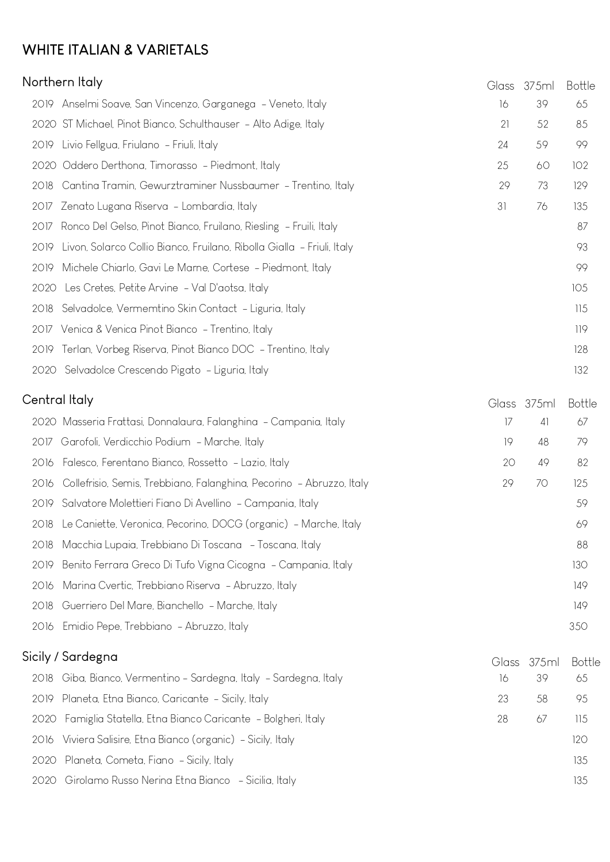## **WHITE ITALIAN & VARIETALS**

|      | Northern Italy                                                         |    |    |     |  |
|------|------------------------------------------------------------------------|----|----|-----|--|
|      | 2019 Anselmi Soave, San Vincenzo, Garganega - Veneto, Italy            | 16 | 39 | 65  |  |
|      | 2020 ST Michael, Pinot Bianco, Schulthauser - Alto Adige, Italy        | 21 | 52 | 85  |  |
|      | 2019 Livio Fellgua, Friulano - Friuli, Italy                           | 24 | 59 | 99  |  |
|      | 2020 Oddero Derthona, Timorasso - Piedmont, Italy                      | 25 | 60 | 102 |  |
| 2018 | Cantina Tramin, Gewurztraminer Nussbaumer - Trentino, Italy            | 29 | 73 | 129 |  |
|      | 2017 Zenato Lugana Riserva - Lombardia, Italy                          | 31 | 76 | 135 |  |
|      | 2017 Ronco Del Gelso, Pinot Bianco, Fruilano, Riesling - Fruili, Italy |    |    | 87  |  |
| 2019 | Livon, Solarco Collio Bianco, Fruilano, Ribolla Gialla - Friuli, Italy |    |    | 93  |  |
| 2019 | Michele Chiarlo, Gavi Le Marne, Cortese - Piedmont, Italy              |    |    | 99  |  |
| 2020 | Les Cretes, Petite Arvine - Val D'aotsa, Italy                         |    |    | 105 |  |
| 2018 | Selvadolce, Vermemtino Skin Contact - Liguria, Italy                   |    |    | 115 |  |
|      | 2017 Venica & Venica Pinot Bianco - Trentino, Italy                    |    |    | 119 |  |
|      | 2019 Terlan, Vorbeg Riserva, Pinot Bianco DOC - Trentino, Italy        |    |    | 128 |  |
|      | 2020 Selvadolce Crescendo Pigato - Liguria, Italy                      |    |    | 132 |  |
|      | Central Italy<br>Glass 37.5ml<br>Bottle                                |    |    |     |  |

| Central Italy |                                                                           |    | Glass 375ml | <b>Bottle</b> |
|---------------|---------------------------------------------------------------------------|----|-------------|---------------|
|               | 2020 Masseria Frattasi, Donnalaura, Falanghina - Campania, Italy          | 17 | 4           | 67            |
|               | 2017 Garofoli, Verdicchio Podium - Marche, Italy                          | 19 | 48          | 79            |
|               | 2016 Falesco, Ferentano Bianco, Rossetto - Lazio, Italy                   | 20 | 49          | 82            |
|               | 2016 Collefrisio, Semis, Trebbiano, Falanghina, Pecorino - Abruzzo, Italy | 29 | 70          | 125           |
|               | 2019 Salvatore Molettieri Fiano Di Avellino - Campania, Italy             |    |             | 59            |
|               | 2018 Le Caniette, Veronica, Pecorino, DOCG (organic) - Marche, Italy      |    |             | 69            |
|               | 2018 Macchia Lupaia, Trebbiano Di Toscana - Toscana, Italy                |    |             | 88            |
|               | 2019 Benito Ferrara Greco Di Tufo Vigna Cicogna - Campania, Italy         |    |             | 130           |
|               | 2016 Marina Cvertic, Trebbiano Riserva - Abruzzo, Italy                   |    |             | 149           |
|               | 2018 Guerriero Del Mare, Bianchello - Marche, Italy                       |    |             | 149           |
|               | 2016 Emidio Pepe, Trebbiano - Abruzzo, Italy                              |    |             | 350           |
|               |                                                                           |    |             |               |

| Sicily / Sardegna                                                 |    | Glass 375ml | Bottle |
|-------------------------------------------------------------------|----|-------------|--------|
| 2018 Giba, Bianco, Vermentino - Sardegna, Italy - Sardegna, Italy | 16 | 39          | 65     |
| 2019 Planeta, Etna Bianco, Caricante - Sicily, Italy              | 23 | 58          | 95     |
| 2020 Famiglia Statella, Etna Bianco Caricante - Bolgheri, Italy   | 28 | 67          | 115    |
| 2016 Viviera Salisire, Etna Bianco (organic) - Sicily, Italy      |    |             | 120    |
| 2020 Planeta, Cometa, Fiano - Sicily, Italy                       |    |             | 135    |
| 2020 Girolamo Russo Nerina Etna Bianco - Sicilia, Italy           |    |             | 135    |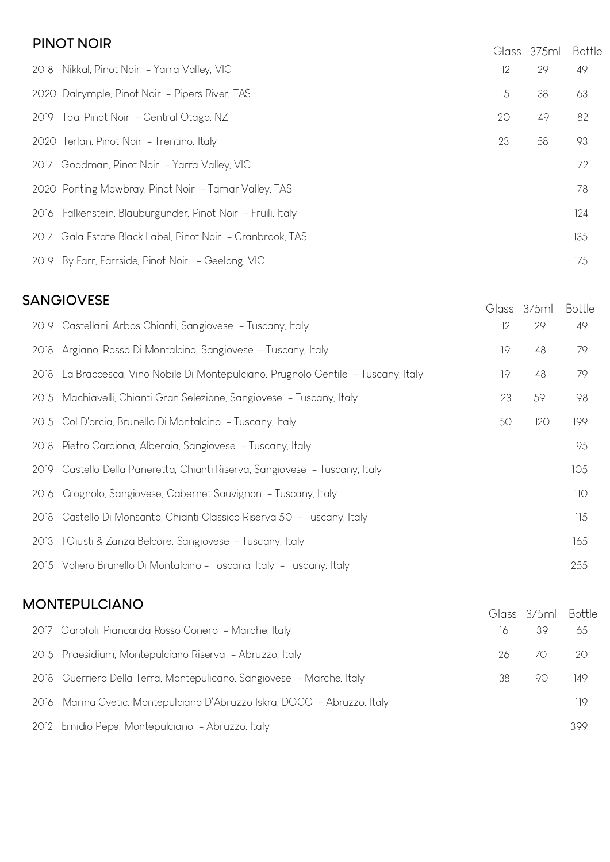#### **PINOT NOIR**

| <b>PIIVUT IVUIR</b>                                         |    | Glass 375ml | <b>Bottle</b> |
|-------------------------------------------------------------|----|-------------|---------------|
| 2018 Nikkal, Pinot Noir - Yarra Valley, VIC                 | 12 | 29          | 49            |
| 2020 Dalrymple, Pinot Noir - Pipers River, TAS              | 15 | 38          | 63            |
| 2019 Toa, Pinot Noir - Central Otago, NZ                    | 20 | 49          | 82            |
| 2020 Terlan, Pinot Noir - Trentino, Italy                   | 23 | 58          | 93            |
| 2017 Goodman, Pinot Noir - Yarra Valley, VIC                |    |             | 72            |
| 2020 Ponting Mowbray, Pinot Noir - Tamar Valley, TAS        |    |             | 78            |
| 2016 Falkenstein, Blauburgunder, Pinot Noir - Fruili, Italy |    |             | 124           |
| 2017 Gala Estate Black Label, Pinot Noir - Cranbrook, TAS   |    |             | 135           |
| 2019 By Farr, Farrside, Pinot Noir - Geelong, VIC           |    |             | 175           |

| <b>SANGIOVESE</b> |                                                                                    |    |             |               |
|-------------------|------------------------------------------------------------------------------------|----|-------------|---------------|
|                   |                                                                                    |    | Glass 375ml | <b>Bottle</b> |
|                   | 2019 Castellani, Arbos Chianti, Sangiovese - Tuscany, Italy                        | 12 | 29          | 49            |
|                   | 2018 Argiano, Rosso Di Montalcino, Sangiovese - Tuscany, Italy                     | 19 | 48          | 79            |
|                   | 2018 La Braccesca, Vino Nobile Di Montepulciano, Prugnolo Gentile - Tuscany, Italy | 19 | 48          | 79            |
|                   | 2015 Machiavelli, Chianti Gran Selezione, Sangiovese - Tuscany, Italy              | 23 | 59          | 98            |
|                   | 2015 Col D'orcia, Brunello Di Montalcino - Tuscany, Italy                          | 50 | 120         | 199           |
|                   | 2018 Pietro Carciona, Alberaia, Sangiovese - Tuscany, Italy                        |    |             | 95            |
|                   | 2019 Castello Della Paneretta, Chianti Riserva, Sangiovese - Tuscany, Italy        |    |             | 105           |
|                   | 2016 Crognolo, Sangiovese, Cabernet Sauvignon - Tuscany, Italy                     |    |             | 110           |
|                   | 2018 Castello Di Monsanto, Chianti Classico Riserva 50 - Tuscany, Italy            |    |             | 115           |
|                   | 2013   Giusti & Zanza Belcore, Sangiovese - Tuscany, Italy                         |    |             | 165           |
|                   | 2015 Voliero Brunello Di Montalcino - Toscana, Italy - Tuscany, Italy              |    |             | 255           |

## **MONTEPULCIANO** 2017 Garofoli, Piancarda Rosso Conero - Marche, Italy 16 39 65 2015 Praesidium, Montepulciano Riserva - Abruzzo, Italy 26 70 120 2018 Guerriero Della Terra, Montepulicano, Sangiovese - Marche, Italy 38 38 90 149 2016 Marina Cvetic, Montepulciano D'Abruzzo Iskra, DOCG - Abruzzo, Italy 119 2012 Emidio Pepe, Montepulciano - Abruzzo, Italy 399 Glass 375ml Bottle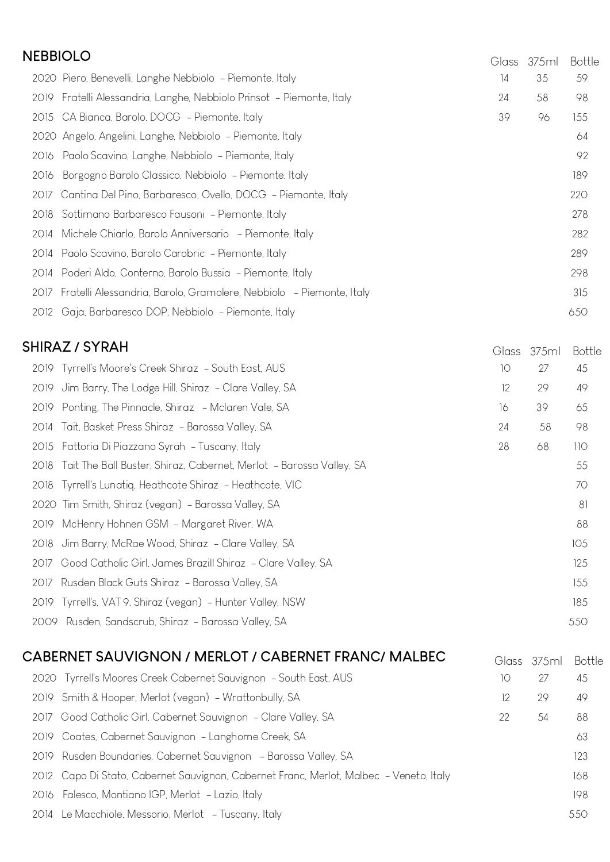| <b>NEBBIOLO</b>                                                             |    | Glass 375ml | <b>Bottle</b> |
|-----------------------------------------------------------------------------|----|-------------|---------------|
| 2020 Piero, Benevelli, Langhe Nebbiolo - Piemonte, Italy                    | 4  | 35          | 59            |
| 2019 Fratelli Alessandria, Langhe, Nebbiolo Prinsot - Piemonte, Italy       | 24 | 58          | 98            |
| 2015 CA Bianca, Barolo, DOCG - Piemonte, Italy                              | 39 | 96          | 155           |
| 2020 Angelo, Angelini, Langhe, Nebbiolo - Piemonte, Italy                   |    |             | 64            |
| 2016 Paolo Scavino, Langhe, Nebbiolo - Piemonte, Italy                      |    |             | 92            |
| Borgogno Barolo Classico, Nebbiolo - Piemonte, Italy<br>2016                |    |             | 189           |
| 2017 Cantina Del Pino, Barbaresco, Ovello, DOCG - Piemonte, Italy           |    |             | 220           |
| 2018 Sottimano Barbaresco Fausoni - Piemonte, Italy                         |    |             | 278           |
| 2014 Michele Chiarlo, Barolo Anniversario - Piemonte, Italy                 |    |             | 282           |
| 2014 Paolo Scavino, Barolo Carobric - Piemonte, Italy                       |    |             | 289           |
| 2014 Poderi Aldo, Conterno, Barolo Bussia - Piemonte, Italy                 |    |             | 298           |
| Fratelli Alessandria, Barolo, Gramolere, Nebbiolo - Piemonte, Italy<br>2017 |    |             | 315           |
| 2012 Gaja, Barbaresco DOP, Nebbiolo - Piemonte, Italy                       |    |             | 650           |
|                                                                             |    |             |               |

### **SHIRAZ / SYRAH**

| ;HIRAZ / SYRAH                                                           | Glass | 375ml | <b>Bottle</b> |
|--------------------------------------------------------------------------|-------|-------|---------------|
| 2019 Tyrrell's Moore's Creek Shiraz - South East, AUS                    | 10    | 27    | 45            |
| Jim Barry, The Lodge Hill, Shiraz - Clare Valley, SA<br>2019             | 12    | 29    | 49            |
| Ponting, The Pinnacle, Shiraz - Mclaren Vale, SA<br>2019                 | 16    | 39    | 65            |
| 2014 Tait, Basket Press Shiraz - Barossa Valley, SA                      | 24    | 58    | 98            |
| Fattoria Di Piazzano Syrah - Tuscany, Italy<br>2015                      | 28    | 68    | 110           |
| 2018 Tait The Ball Buster, Shiraz, Cabernet, Merlot - Barossa Valley, SA |       |       | 55            |
| 2018 Tyrrell's Lunatiq, Heathcote Shiraz - Heathcote, VIC                |       |       | 70            |
| 2020 Tim Smith, Shiraz (vegan) - Barossa Valley, SA                      |       |       | 81            |
| McHenry Hohnen GSM - Margaret River, WA<br>2019                          |       |       | 88            |
| 2018 Jim Barry, McRae Wood, Shiraz - Clare Valley, SA                    |       |       | 105           |
| Good Catholic Girl, James Brazill Shiraz - Clare Valley, SA<br>2017      |       |       | 125           |
| Rusden Black Guts Shiraz - Barossa Valley, SA<br>2017                    |       |       | 155           |
| 2019 Tyrrell's, VAT 9, Shiraz (vegan) - Hunter Valley, NSW               |       |       | 185           |
| 2009 Rusden, Sandscrub, Shiraz - Barossa Valley, SA                      |       |       | 550           |

| CABERNET SAUVIGNON / MERLOT / CABERNET FRANC/ MALBEC                                   |    | Glass 375ml | Bottle |
|----------------------------------------------------------------------------------------|----|-------------|--------|
| 2020 Tyrrell's Moores Creek Cabernet Sauvignon - South East, AUS                       | 10 | 27          | 45     |
| 2019 Smith & Hooper, Merlot (vegan) - Wrattonbully, SA                                 | 12 | 29          | 49     |
| 2017 Good Catholic Girl, Cabernet Sauvignon - Clare Valley, SA                         | 22 | 54          | 88     |
| 2019 Coates, Cabernet Sauvignon - Langhorne Creek, SA                                  |    |             | 63     |
| 2019 Rusden Boundaries, Cabernet Sauvignon - Barossa Valley, SA                        |    |             | 123    |
| 2012 Capo Di Stato, Cabernet Sauvignon, Cabernet Franc, Merlot, Malbec - Veneto, Italy |    |             | 168    |
| 2016 Falesco, Montiano IGP, Merlot - Lazio, Italy                                      |    |             | 198    |
| 2014 Le Macchiole, Messorio, Merlot - Tuscany, Italy                                   |    |             | 550    |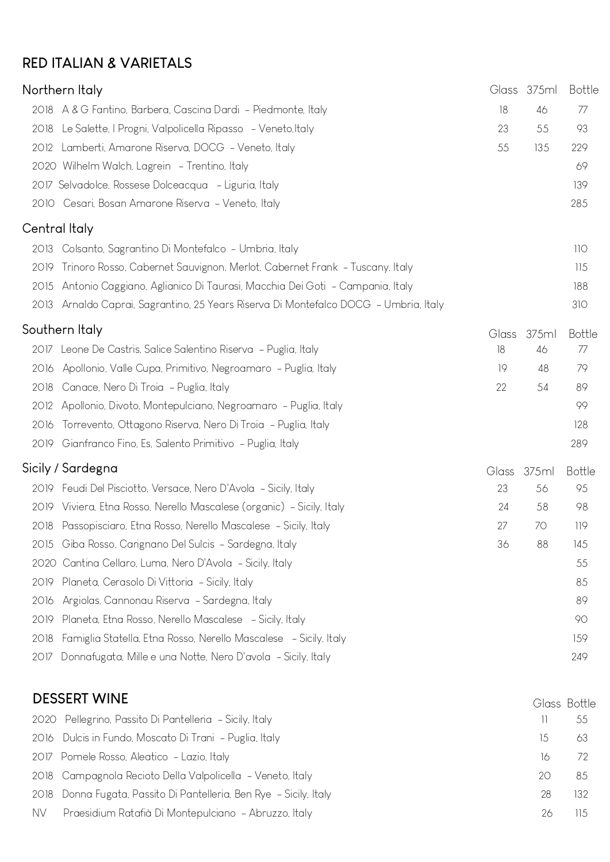### **RED ITALIAN & VARIETALS**

|           | Northern Italy                                                                  |              | Glass 375ml | <b>Bottle</b> |
|-----------|---------------------------------------------------------------------------------|--------------|-------------|---------------|
| 2018      | A & G Fantino, Barbera, Cascina Dardi - Piedmonte, Italy                        | 18           | 46          | 77            |
| 2018      | Le Salette, I Progni, Valpolicella Ripasso - Veneto, Italy                      | 23           | 55          | 93            |
| 2012      | Lamberti, Amarone Riserva, DOCG - Veneto, Italy                                 | 55           | 135         | 229           |
|           | 2020 Wilhelm Walch, Lagrein - Trentino, Italy                                   |              |             | 69            |
|           | 2017 Selvadolce, Rossese Dolceacqua - Liguria, Italy                            |              |             | 139           |
|           | 2010 Cesari, Bosan Amarone Riserva - Veneto, Italy                              |              |             | 285           |
|           | Central Italy                                                                   |              |             |               |
| 2013      | Colsanto, Sagrantino Di Montefalco - Umbria, Italy                              |              |             | 110           |
| 2019      | Trinoro Rosso, Cabernet Sauvignon, Merlot, Cabernet Frank - Tuscany, Italy      |              |             | 115           |
| 2015      | Antonio Caggiano, Aglianico Di Taurasi, Macchia Dei Goti - Campania, Italy      |              |             | 188           |
| 2013      | Arnaldo Caprai, Sagrantino, 25 Years Riserva Di Montefalco DOCG - Umbria, Italy |              |             | 310           |
|           | Southern Italy                                                                  | <b>Glass</b> | 375ml       | <b>Bottle</b> |
|           | 2017 Leone De Castris, Salice Salentino Riserva - Puglia, Italy                 | 18           | 46          | 77            |
| 2016      | Apollonio, Valle Cupa, Primitivo, Negroamaro - Puglia, Italy                    | 19           | 48          | 79            |
| 2018      | Canace, Nero Di Troia - Puglia, Italy                                           | 22           | 54          | 89            |
| 2012      | Apollonio, Divoto, Montepulciano, Negroamaro - Puglia, Italy                    |              |             | 99            |
| 2016      | Torrevento, Ottagono Riserva, Nero Di Troia - Puglia, Italy                     |              |             | 128           |
|           | 2019 Gianfranco Fino, Es, Salento Primitivo - Puglia, Italy                     |              |             | 289           |
|           | Sicily / Sardegna                                                               | Glass        | 375ml       | <b>Bottle</b> |
|           | 2019 Feudi Del Pisciotto, Versace, Nero D'Avola - Sicily, Italy                 | 23           | 56          | 95            |
|           | 2019 Viviera, Etna Rosso, Nerello Mascalese (organic) - Sicily, Italy           | 24           | 58          | 98            |
|           | 2018 Passopisciaro, Etna Rosso, Nerello Mascalese - Sicily, Italy               | 27           | 70          | 119           |
| 2015      | Giba Rosso, Carignano Del Sulcis - Sardegna, Italy                              | 36           | 88          | 145           |
|           | 2020 Cantina Cellaro, Luma, Nero D'Avola - Sicily, Italy                        |              |             | 55            |
| 2019      | Planeta, Cerasolo Di Vittoria - Sicily, Italy                                   |              |             | 85            |
| 2016      | Argiolas, Cannonau Riserva - Sardegna, Italy                                    |              |             | 89            |
| 2019      | Planeta, Etna Rosso, Nerello Mascalese - Sicily, Italy                          |              |             | 90            |
| 2018      | Famiglia Statella, Etna Rosso, Nerello Mascalese - Sicily, Italy                |              |             | 159           |
| 2017      | Donnafugata, Mille e una Notte, Nero D'avola - Sicily, Italy                    |              |             | 249           |
|           | <b>DESSERT WINE</b>                                                             |              |             | Glass Bottle  |
| 2020      | Pellegrino, Passito Di Pantelleria - Sicily, Italy                              |              | Ħ           | 55            |
| 2016      | Dulcis in Fundo, Moscato Di Trani - Puglia, Italy                               |              | 15          | 63            |
| 2017      | Pomele Rosso, Aleatico - Lazio, Italy                                           |              | 16          | 72            |
| 2018      | Campagnola Recioto Della Valpolicella - Veneto, Italy                           |              | 20          | 85            |
| 2018      | Donna Fugata, Passito Di Pantelleria, Ben Rye - Sicily, Italy                   |              | 28          | 132           |
| <b>NV</b> | Praesidium Ratafià Di Montepulciano - Abruzzo, Italy                            |              | 26          | 115           |